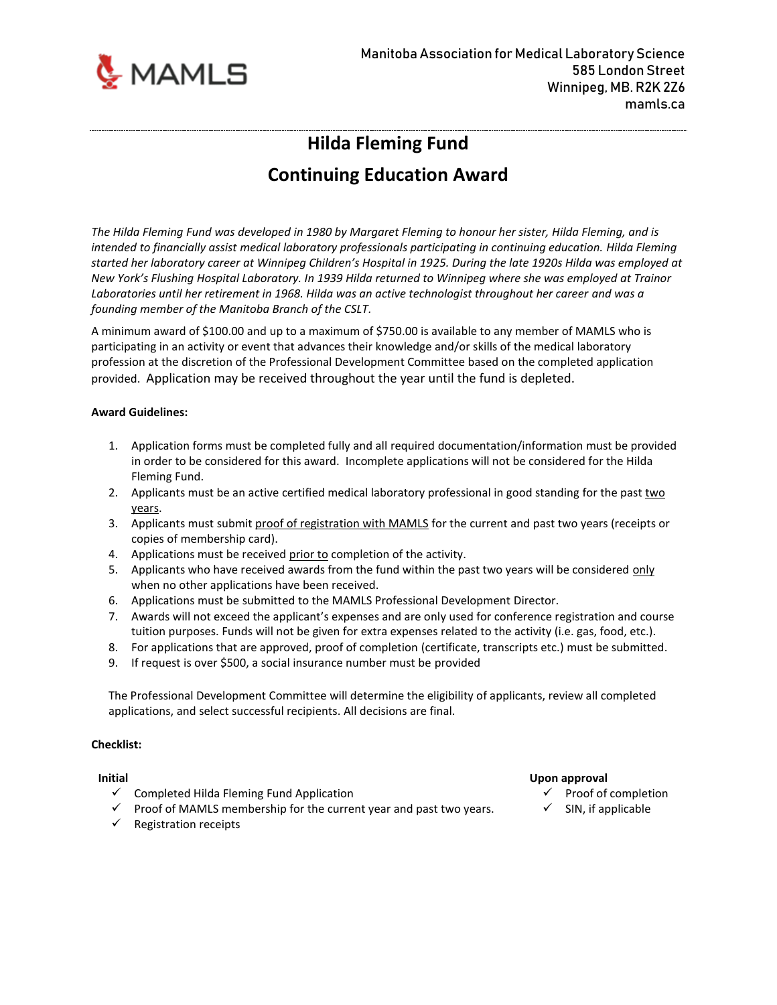

## **Hilda Fleming Fund**

# **Continuing Education Award**

*The Hilda Fleming Fund was developed in 1980 by Margaret Fleming to honour her sister, Hilda Fleming, and is intended to financially assist medical laboratory professionals participating in continuing education. Hilda Fleming started her laboratory career at Winnipeg Children's Hospital in 1925. During the late 1920s Hilda was employed at New York's Flushing Hospital Laboratory. In 1939 Hilda returned to Winnipeg where she was employed at Trainor Laboratories until her retirement in 1968. Hilda was an active technologist throughout her career and was a founding member of the Manitoba Branch of the CSLT.*

A minimum award of \$100.00 and up to a maximum of \$750.00 is available to any member of MAMLS who is participating in an activity or event that advances their knowledge and/or skills of the medical laboratory profession at the discretion of the Professional Development Committee based on the completed application provided. Application may be received throughout the year until the fund is depleted.

### **Award Guidelines:**

- 1. Application forms must be completed fully and all required documentation/information must be provided in order to be considered for this award. Incomplete applications will not be considered for the Hilda Fleming Fund.
- 2. Applicants must be an active certified medical laboratory professional in good standing for the past two years.
- 3. Applicants must submit proof of registration with MAMLS for the current and past two years (receipts or copies of membership card).
- 4. Applications must be received prior to completion of the activity.
- 5. Applicants who have received awards from the fund within the past two years will be considered only when no other applications have been received.
- 6. Applications must be submitted to the MAMLS Professional Development Director.
- 7. Awards will not exceed the applicant's expenses and are only used for conference registration and course tuition purposes. Funds will not be given for extra expenses related to the activity (i.e. gas, food, etc.).
- 8. For applications that are approved, proof of completion (certificate, transcripts etc.) must be submitted.
- 9. If request is over \$500, a social insurance number must be provided

The Professional Development Committee will determine the eligibility of applicants, review all completed applications, and select successful recipients. All decisions are final.

### **Checklist:**

- $\checkmark$  Completed Hilda Fleming Fund Application
- $\checkmark$  Proof of MAMLS membership for the current year and past two years.
- $\checkmark$  Registration receipts

### **Initial Upon approval**

- ✓ Proof of completion
- $\checkmark$  SIN, if applicable